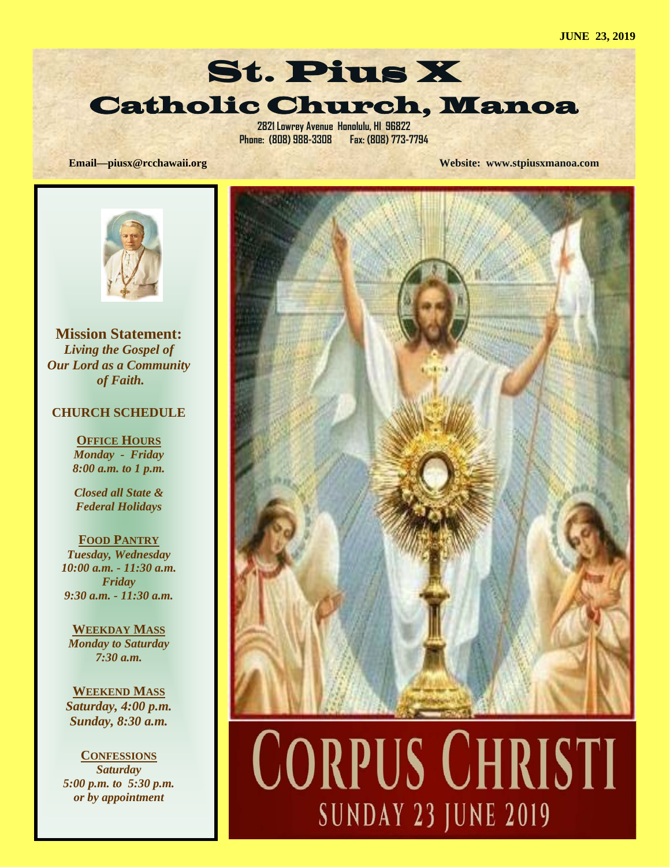

**2821 Lowrey Avenue Honolulu, HI 96822 Phone: (808) 988-3308 Fax: (808) 773-7794** 

**Email—piusx@rcchawaii.org Website: www.stpiusxmanoa.com**



**Mission Statement:**  *Living the Gospel of Our Lord as a Community of Faith.* 

#### **CHURCH SCHEDULE**

**OFFICE HOURS** *Monday - Friday 8:00 a.m. to 1 p.m.* 

*Closed all State & Federal Holidays* 

**FOOD PANTRY** *Tuesday, Wednesday 10:00 a.m. - 11:30 a.m. Friday 9:30 a.m. - 11:30 a.m.* 

**WEEKDAY MASS** *Monday to Saturday 7:30 a.m.* 

**WEEKEND MASS** *Saturday, 4:00 p.m. Sunday, 8:30 a.m.* 

**CONFESSIONS**  *Saturday 5:00 p.m. to 5:30 p.m. or by appointment* 



# **CORPUS CHRISTI SUNDAY 23 JUNE 2019**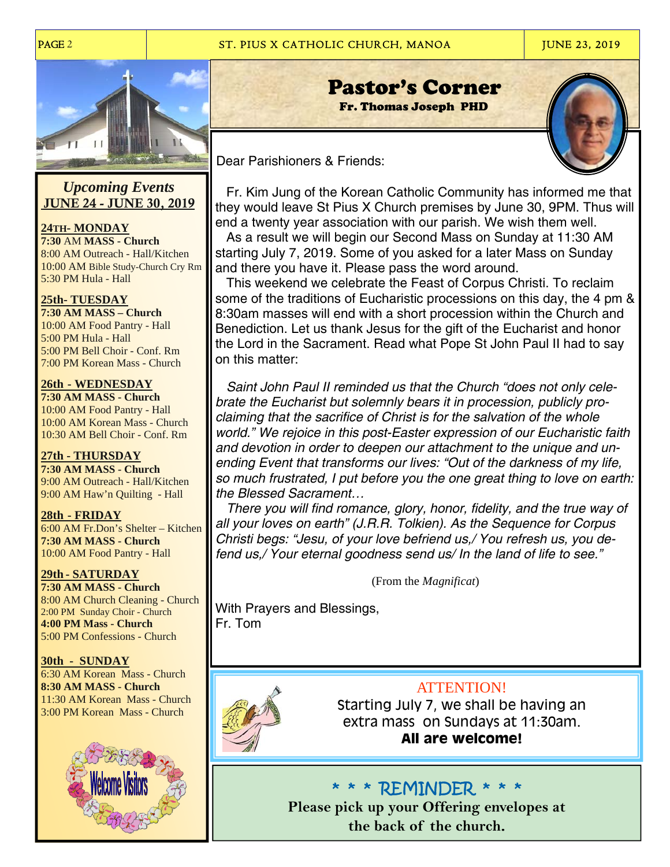

 *Upcoming Events*  JUNE 24 - JUNE 30, 2019

#### **24TH- MONDAY**

**7:30** AM **MASS - Church**  8:00 AM Outreach - Hall/Kitchen 10:00 AM Bible Study-Church Cry Rm 5:30 PM Hula - Hall

#### **25th- TUESDAY**

**7:30 AM MASS – Church** 10:00 AM Food Pantry - Hall 5:00 PM Hula - Hall 5:00 PM Bell Choir - Conf. Rm 7:00 PM Korean Mass - Church

#### **26th - WEDNESDAY**

**7:30 AM MASS - Church** 10:00 AM Food Pantry - Hall 10:00 AM Korean Mass - Church 10:30 AM Bell Choir - Conf. Rm

**27th - THURSDAY 7:30 AM MASS - Church**  9:00 AM Outreach - Hall/Kitchen 9:00 AM Haw'n Quilting - Hall

#### **28th - FRIDAY**

6:00 AM Fr.Don's Shelter – Kitchen **7:30 AM MASS - Church**  10:00 AM Food Pantry - Hall

#### **29th - SATURDAY**

**7:30 AM MASS - Church**  8:00 AM Church Cleaning - Church 2:00 PM Sunday Choir - Church **4:00 PM Mass - Church**  5:00 PM Confessions - Church

#### **30th - SUNDAY**

6:30 AM Korean Mass - Church **8:30 AM MASS - Church**  11:30 AM Korean Mass - Church 3:00 PM Korean Mass - Church



## Pastor's Corner<br>Fr. Thomas Joseph PHD



Dear Parishioners & Friends:

 Fr. Kim Jung of the Korean Catholic Community has informed me that they would leave St Pius X Church premises by June 30, 9PM. Thus will end a twenty year association with our parish. We wish them well. As a result we will begin our Second Mass on Sunday at 11:30 AM starting July 7, 2019. Some of you asked for a later Mass on Sunday and there you have it. Please pass the word around.

 This weekend we celebrate the Feast of Corpus Christi. To reclaim some of the traditions of Eucharistic processions on this day, the 4 pm & 8:30am masses will end with a short procession within the Church and Benediction. Let us thank Jesus for the gift of the Eucharist and honor the Lord in the Sacrament. Read what Pope St John Paul II had to say on this matter:

 *Saint John Paul II reminded us that the Church "does not only celebrate the Eucharist but solemnly bears it in procession, publicly proclaiming that the sacrifice of Christ is for the salvation of the whole world." We rejoice in this post-Easter expression of our Eucharistic faith and devotion in order to deepen our attachment to the unique and unending Event that transforms our lives: "Out of the darkness of my life, so much frustrated, I put before you the one great thing to love on earth: the Blessed Sacrament…* 

 *There you will find romance, glory, honor, fidelity, and the true way of all your loves on earth" (J.R.R. Tolkien). As the Sequence for Corpus Christi begs: "Jesu, of your love befriend us,/ You refresh us, you defend us,/ Your eternal goodness send us/ In the land of life to see."* 

(From the *Magnificat*)

With Prayers and Blessings, Fr. Tom



ATTENTION! Starting July 7, we shall be having an extra mass on Sundays at 11:30am. **All are welcome!** 

## \* \* \* REMINDER \* \* \*

**Please pick up your Offering envelopes at the back of the church.**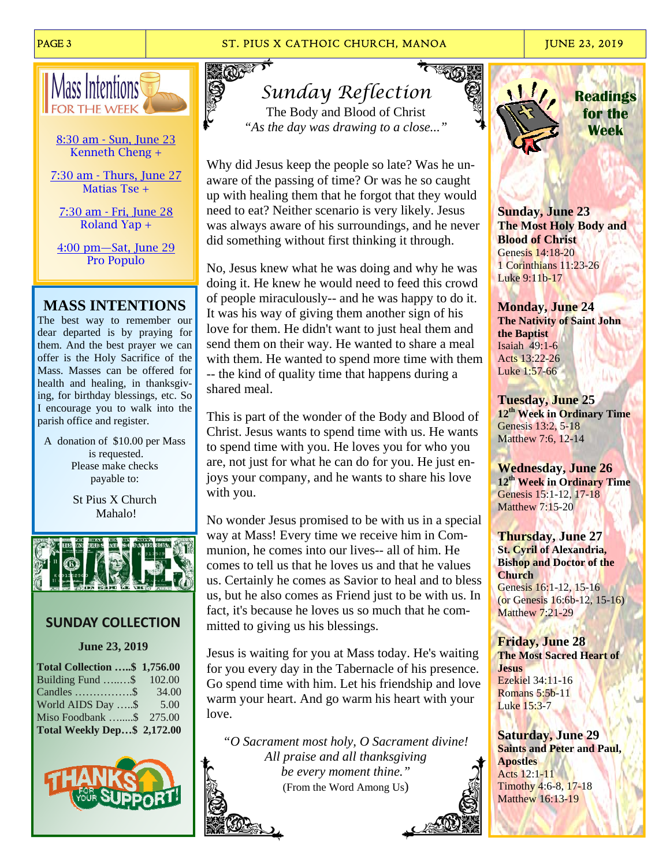#### PAGE 3 JUNE 23, 2019 ST. PIUS X CATHOIC CHURCH, MANOA



8:30 am - Sun, June 23 Kenneth Cheng +

7:30 am - Thurs, June 27 Matias Tse +

7:30 am - Fri, June 28 Roland Yap +

4:00 pm—Sat, June 29 Pro Populo

### **MASS INTENTIONS**

The best way to remember our dear departed is by praying for them. And the best prayer we can offer is the Holy Sacrifice of the Mass. Masses can be offered for health and healing, in thanksgiving, for birthday blessings, etc. So I encourage you to walk into the parish office and register.

A donation of \$10.00 per Mass is requested. Please make checks payable to:

> St Pius X Church Mahalo!



#### **SUNDAY COLLECTION**

#### **June 23, 2019**

| <b>Total Collection  \$1,756.00</b> |        |
|-------------------------------------|--------|
| Building Fund \$                    | 102.00 |
|                                     | 34.00  |
| World AIDS Day \$                   | 5.00   |
| Miso Foodbank \$ 275.00             |        |
| <b>Total Weekly Dep\$ 2,172.00</b>  |        |



TO STATES *Sunday Reflection*  The Body and Blood of Christ *"As the day was drawing to a close..."* 

Why did Jesus keep the people so late? Was he unaware of the passing of time? Or was he so caught up with healing them that he forgot that they would need to eat? Neither scenario is very likely. Jesus was always aware of his surroundings, and he never did something without first thinking it through.

No, Jesus knew what he was doing and why he was doing it. He knew he would need to feed this crowd of people miraculously-- and he was happy to do it. It was his way of giving them another sign of his love for them. He didn't want to just heal them and send them on their way. He wanted to share a meal with them. He wanted to spend more time with them -- the kind of quality time that happens during a shared meal.

This is part of the wonder of the Body and Blood of Christ. Jesus wants to spend time with us. He wants to spend time with you. He loves you for who you are, not just for what he can do for you. He just enjoys your company, and he wants to share his love with you.

No wonder Jesus promised to be with us in a special way at Mass! Every time we receive him in Communion, he comes into our lives-- all of him. He comes to tell us that he loves us and that he values us. Certainly he comes as Savior to heal and to bless us, but he also comes as Friend just to be with us. In fact, it's because he loves us so much that he committed to giving us his blessings.

Jesus is waiting for you at Mass today. He's waiting for you every day in the Tabernacle of his presence. Go spend time with him. Let his friendship and love warm your heart. And go warm his heart with your love.

*"O Sacrament most holy, O Sacrament divine! All praise and all thanksgiving be every moment thine."*  (From the Word Among Us)





**Readings for the Week** 

**Sunday, June 23 The Most Holy Body and Blood of Christ**  Genesis 14:18-20 1 Corinthians 11:23-26 Luke 9:11b-17

**Monday, June 24 The Nativity of Saint John the Baptist**  Isaiah 49:1-6 Acts 13:22-26 Luke 1:57-66

**Tuesday, June 25 12th Week in Ordinary Time**  Genesis 13:2, 5-18 Matthew 7:6, 12-14

**Wednesday, June 26 12th Week in Ordinary Time**  Genesis 15:1-12, 17-18 Matthew 7:15-20

**Thursday, June 27 St. Cyril of Alexandria, Bishop and Doctor of the Church**  Genesis 16:1-12, 15-16 (or Genesis 16:6b-12, 15-16) Matthew 7:21-29

**Friday, June 28 The Most Sacred Heart of Jesus**  Ezekiel 34:11-16 Romans 5:5b-11 Luke 15:3-7

**Saturday, June 29 Saints and Peter and Paul, Apostles**  Acts 12:1-11 Timothy 4:6-8, 17-18 Matthew 16:13-19